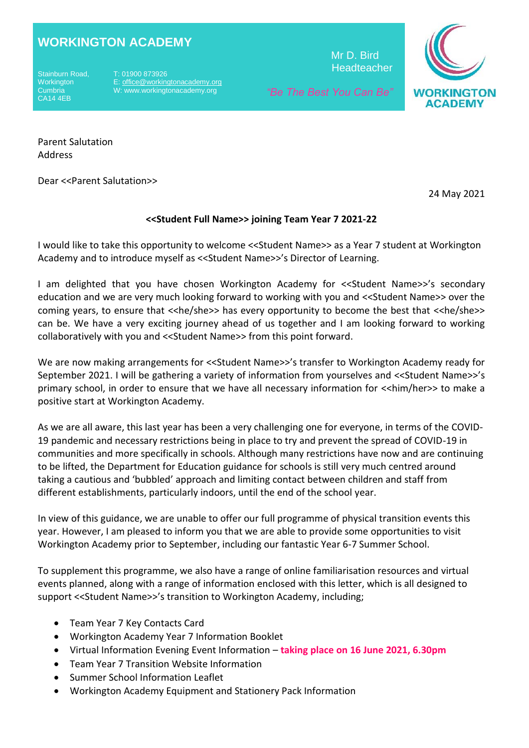## **WORKINGTON ACADEMY**

**Workington Cumbria** CA14 4EB

T: 01900 873926 E[: office@workingtonacademy.org](mailto:office@workingtonacademy.org) W: www.workingtonacademy.org

 Mr D. Bird **Headteacher** 



 *"Be The Best You Can Be"*

Parent Salutation Address

Dear <<Parent Salutation>>

24 May 2021

## **<<Student Full Name>> joining Team Year 7 2021-22**

I would like to take this opportunity to welcome <<Student Name>> as a Year 7 student at Workington Academy and to introduce myself as <<Student Name>>'s Director of Learning.

I am delighted that you have chosen Workington Academy for <<Student Name>>'s secondary education and we are very much looking forward to working with you and <<Student Name>> over the coming years, to ensure that <<he/she>> has every opportunity to become the best that <<he/she>> can be. We have a very exciting journey ahead of us together and I am looking forward to working collaboratively with you and <<Student Name>> from this point forward.

We are now making arrangements for <<Student Name>>'s transfer to Workington Academy ready for September 2021. I will be gathering a variety of information from yourselves and <<Student Name>>'s primary school, in order to ensure that we have all necessary information for <<him/her>> to make a positive start at Workington Academy.

As we are all aware, this last year has been a very challenging one for everyone, in terms of the COVID-19 pandemic and necessary restrictions being in place to try and prevent the spread of COVID-19 in communities and more specifically in schools. Although many restrictions have now and are continuing to be lifted, the Department for Education guidance for schools is still very much centred around taking a cautious and 'bubbled' approach and limiting contact between children and staff from different establishments, particularly indoors, until the end of the school year.

In view of this guidance, we are unable to offer our full programme of physical transition events this year. However, I am pleased to inform you that we are able to provide some opportunities to visit Workington Academy prior to September, including our fantastic Year 6-7 Summer School.

To supplement this programme, we also have a range of online familiarisation resources and virtual events planned, along with a range of information enclosed with this letter, which is all designed to support <<Student Name>>'s transition to Workington Academy, including;

- Team Year 7 Key Contacts Card
- Workington Academy Year 7 Information Booklet
- Virtual Information Evening Event Information **taking place on 16 June 2021, 6.30pm**
- Team Year 7 Transition Website Information
- Summer School Information Leaflet
- Workington Academy Equipment and Stationery Pack Information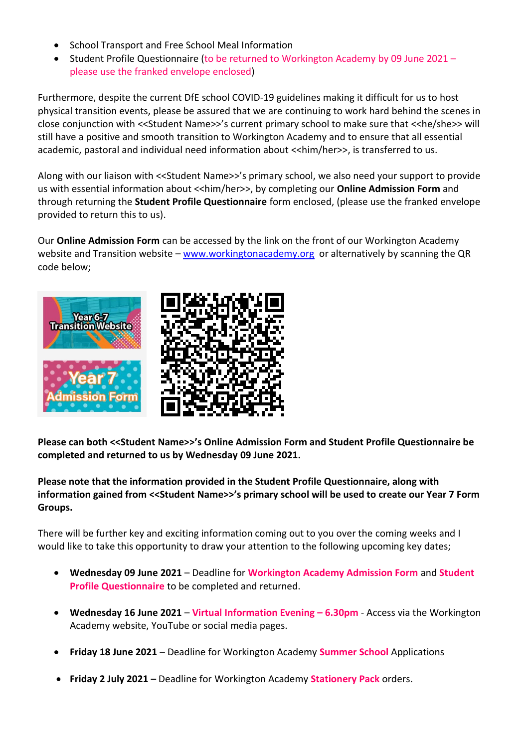- School Transport and Free School Meal Information
- Student Profile Questionnaire (to be returned to Workington Academy by 09 June 2021 please use the franked envelope enclosed)

Furthermore, despite the current DfE school COVID-19 guidelines making it difficult for us to host physical transition events, please be assured that we are continuing to work hard behind the scenes in close conjunction with <<Student Name>>'s current primary school to make sure that <<he/she>> will still have a positive and smooth transition to Workington Academy and to ensure that all essential academic, pastoral and individual need information about <<him/her>>, is transferred to us.

Along with our liaison with <<Student Name>>'s primary school, we also need your support to provide us with essential information about <<him/her>>, by completing our **Online Admission Form** and through returning the **Student Profile Questionnaire** form enclosed, (please use the franked envelope provided to return this to us).

Our **Online Admission Form** can be accessed by the link on the front of our Workington Academy website and Transition website – [www.workingtonacademy.org](http://www.workingtonacademy.org/) or alternatively by scanning the QR code below;





**Please can both <<Student Name>>'s Online Admission Form and Student Profile Questionnaire be completed and returned to us by Wednesday 09 June 2021.**

## **Please note that the information provided in the Student Profile Questionnaire, along with information gained from <<Student Name>>'s primary school will be used to create our Year 7 Form Groups.**

There will be further key and exciting information coming out to you over the coming weeks and I would like to take this opportunity to draw your attention to the following upcoming key dates;

- **Wednesday 09 June 2021** Deadline for **Workington Academy Admission Form** and **Student Profile Questionnaire** to be completed and returned.
- **Wednesday 16 June 2021 Virtual Information Evening – 6.30pm** Access via the Workington Academy website, YouTube or social media pages.
- **Friday 18 June 2021**  Deadline for Workington Academy **Summer School** Applications
- **Friday 2 July 2021 –** Deadline for Workington Academy **Stationery Pack** orders.